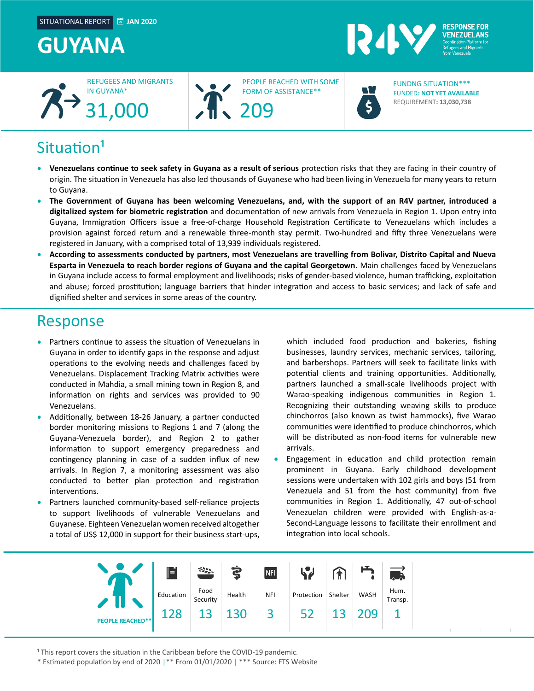## **GUYANA**





PEOPLE REACHED WITH SOME FORM OF ASSISTANCE\*\*



FUNDED**: NOT YET AVAILABLE** REQUIREMENT**: 13,030,738** FUNDNG SITUATION\*\*\*

**RESPONSE FOR VENEZUELANS** 

## $Situation<sup>1</sup>$

- **Venezuelans continue to seek safety in Guyana as a result of serious** protection risks that they are facing in their country of origin. The situation in Venezuela has also led thousands of Guyanese who had been living in Venezuela for many years to return to Guyana.
- **The Government of Guyana has been welcoming Venezuelans, and, with the support of an R4V partner, introduced a digitalized system for biometric registration** and documentation of new arrivals from Venezuela in Region 1. Upon entry into Guyana, Immigration Officers issue a free-of-charge Household Registration Certificate to Venezuelans which includes a provision against forced return and a renewable three-month stay permit. Two-hundred and fifty three Venezuelans were registered in January, with a comprised total of 13,939 individuals registered.
- **According to assessments conducted by partners, most Venezuelans are travelling from Bolivar, Distrito Capital and Nueva Esparta in Venezuela to reach border regions of Guyana and the capital Georgetown**. Main challenges faced by Venezuelans in Guyana include access to formal employment and livelihoods; risks of gender-based violence, human trafficking, exploitation and abuse; forced prostitution; language barriers that hinder integration and access to basic services; and lack of safe and dignified shelter and services in some areas of the country.

### Response

- Partners continue to assess the situation of Venezuelans in Guyana in order to identify gaps in the response and adjust operations to the evolving needs and challenges faced by Venezuelans. Displacement Tracking Matrix activities were conducted in Mahdia, a small mining town in Region 8, and information on rights and services was provided to 90 Venezuelans.
- Additionally, between 18-26 January, a partner conducted border monitoring missions to Regions 1 and 7 (along the Guyana-Venezuela border), and Region 2 to gather information to support emergency preparedness and contingency planning in case of a sudden influx of new arrivals. In Region 7, a monitoring assessment was also conducted to better plan protection and registration interventions.
- Partners launched community-based self-reliance projects to support livelihoods of vulnerable Venezuelans and Guyanese. Eighteen Venezuelan women received altogether a total of US\$ 12,000 in support for their business start-ups,

which included food production and bakeries, fishing businesses, laundry services, mechanic services, tailoring, and barbershops. Partners will seek to facilitate links with potential clients and training opportunities. Additionally, partners launched a small-scale livelihoods project with Warao-speaking indigenous communities in Region 1. Recognizing their outstanding weaving skills to produce chinchorros (also known as twist hammocks), five Warao communities were identified to produce chinchorros, which will be distributed as non-food items for vulnerable new arrivals.

• Engagement in education and child protection remain prominent in Guyana. Early childhood development sessions were undertaken with 102 girls and boys (51 from Venezuela and 51 from the host community) from five communities in Region 1. Additionally, 47 out-of-school Venezuelan children were provided with English-as-a-Second-Language lessons to facilitate their enrollment and integration into local schools.



<sup>1</sup> This report covers the situation in the Caribbean before the COVID-19 pandemic.

\* Estimated population by end of 2020 |\*\* From 01/01/2020 | \*\*\* Source: FTS Website